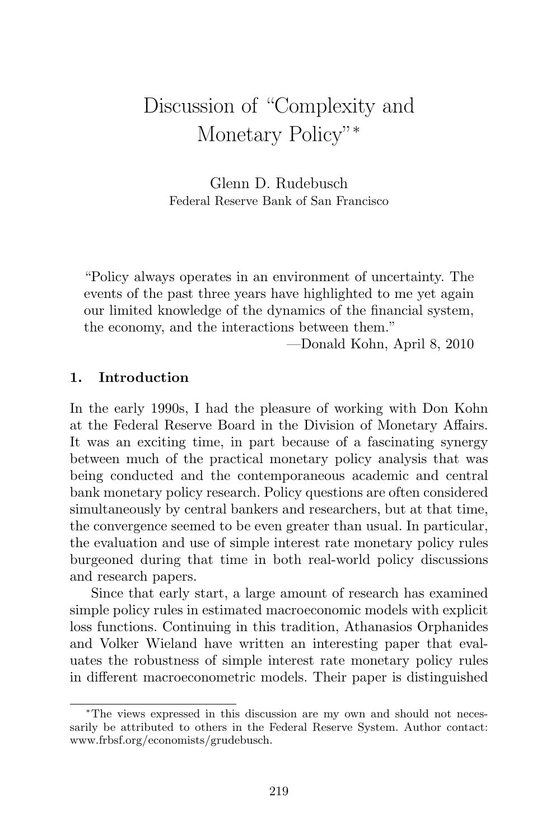# Discussion of "Complexity and Monetary Policy"<sup>∗</sup>

Glenn D. Rudebusch Federal Reserve Bank of San Francisco

"Policy always operates in an environment of uncertainty. The events of the past three years have highlighted to me yet again our limited knowledge of the dynamics of the financial system, the economy, and the interactions between them."

—Donald Kohn, April 8, 2010

## **1. Introduction**

In the early 1990s, I had the pleasure of working with Don Kohn at the Federal Reserve Board in the Division of Monetary Affairs. It was an exciting time, in part because of a fascinating synergy between much of the practical monetary policy analysis that was being conducted and the contemporaneous academic and central bank monetary policy research. Policy questions are often considered simultaneously by central bankers and researchers, but at that time, the convergence seemed to be even greater than usual. In particular, the evaluation and use of simple interest rate monetary policy rules burgeoned during that time in both real-world policy discussions and research papers.

Since that early start, a large amount of research has examined simple policy rules in estimated macroeconomic models with explicit loss functions. Continuing in this tradition, Athanasios Orphanides and Volker Wieland have written an interesting paper that evaluates the robustness of simple interest rate monetary policy rules in different macroeconometric models. Their paper is distinguished

<sup>∗</sup>The views expressed in this discussion are my own and should not necessarily be attributed to others in the Federal Reserve System. Author contact: www.frbsf.org/economists/grudebusch.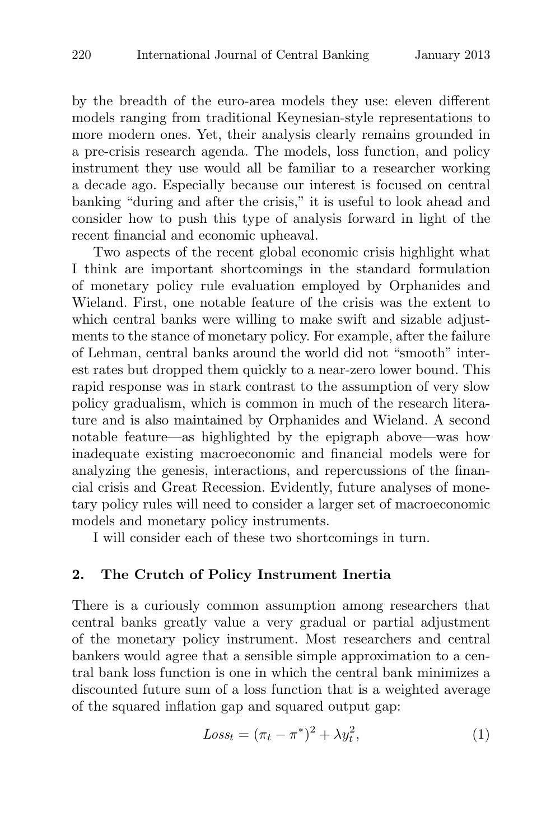by the breadth of the euro-area models they use: eleven different models ranging from traditional Keynesian-style representations to more modern ones. Yet, their analysis clearly remains grounded in a pre-crisis research agenda. The models, loss function, and policy instrument they use would all be familiar to a researcher working a decade ago. Especially because our interest is focused on central banking "during and after the crisis," it is useful to look ahead and consider how to push this type of analysis forward in light of the recent financial and economic upheaval.

Two aspects of the recent global economic crisis highlight what I think are important shortcomings in the standard formulation of monetary policy rule evaluation employed by Orphanides and Wieland. First, one notable feature of the crisis was the extent to which central banks were willing to make swift and sizable adjustments to the stance of monetary policy. For example, after the failure of Lehman, central banks around the world did not "smooth" interest rates but dropped them quickly to a near-zero lower bound. This rapid response was in stark contrast to the assumption of very slow policy gradualism, which is common in much of the research literature and is also maintained by Orphanides and Wieland. A second notable feature—as highlighted by the epigraph above—was how inadequate existing macroeconomic and financial models were for analyzing the genesis, interactions, and repercussions of the financial crisis and Great Recession. Evidently, future analyses of monetary policy rules will need to consider a larger set of macroeconomic models and monetary policy instruments.

I will consider each of these two shortcomings in turn.

### **2. The Crutch of Policy Instrument Inertia**

There is a curiously common assumption among researchers that central banks greatly value a very gradual or partial adjustment of the monetary policy instrument. Most researchers and central bankers would agree that a sensible simple approximation to a central bank loss function is one in which the central bank minimizes a discounted future sum of a loss function that is a weighted average of the squared inflation gap and squared output gap:

$$
Loss_t = (\pi_t - \pi^*)^2 + \lambda y_t^2, \tag{1}
$$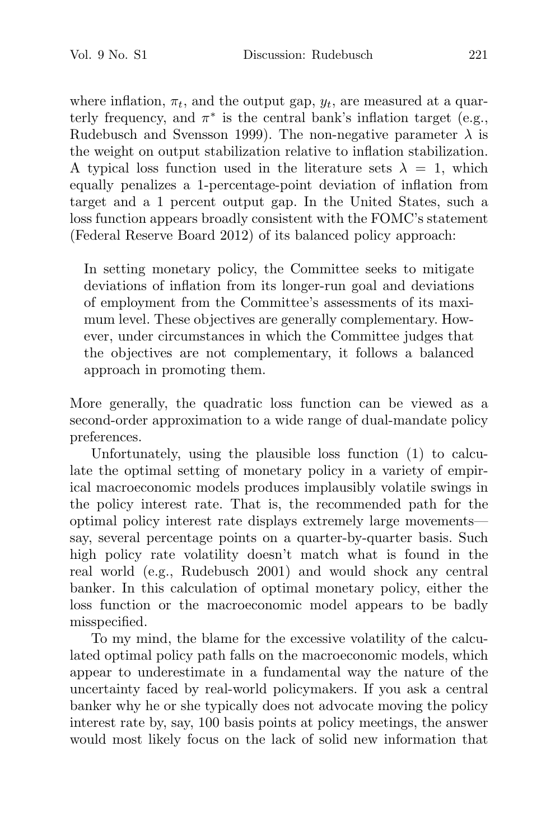where inflation,  $\pi_t$ , and the output gap,  $y_t$ , are measured at a quarterly frequency, and  $\pi^*$  is the central bank's inflation target (e.g., Rudebusch and Svensson 1999). The non-negative parameter  $\lambda$  is the weight on output stabilization relative to inflation stabilization. A typical loss function used in the literature sets  $\lambda = 1$ , which equally penalizes a 1-percentage-point deviation of inflation from target and a 1 percent output gap. In the United States, such a loss function appears broadly consistent with the FOMC's statement (Federal Reserve Board 2012) of its balanced policy approach:

In setting monetary policy, the Committee seeks to mitigate deviations of inflation from its longer-run goal and deviations of employment from the Committee's assessments of its maximum level. These objectives are generally complementary. However, under circumstances in which the Committee judges that the objectives are not complementary, it follows a balanced approach in promoting them.

More generally, the quadratic loss function can be viewed as a second-order approximation to a wide range of dual-mandate policy preferences.

Unfortunately, using the plausible loss function (1) to calculate the optimal setting of monetary policy in a variety of empirical macroeconomic models produces implausibly volatile swings in the policy interest rate. That is, the recommended path for the optimal policy interest rate displays extremely large movements say, several percentage points on a quarter-by-quarter basis. Such high policy rate volatility doesn't match what is found in the real world (e.g., Rudebusch 2001) and would shock any central banker. In this calculation of optimal monetary policy, either the loss function or the macroeconomic model appears to be badly misspecified.

To my mind, the blame for the excessive volatility of the calculated optimal policy path falls on the macroeconomic models, which appear to underestimate in a fundamental way the nature of the uncertainty faced by real-world policymakers. If you ask a central banker why he or she typically does not advocate moving the policy interest rate by, say, 100 basis points at policy meetings, the answer would most likely focus on the lack of solid new information that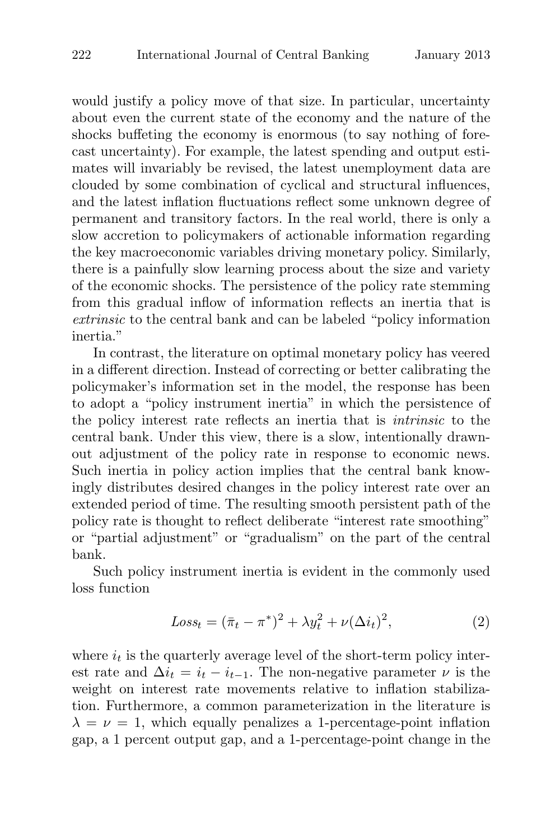would justify a policy move of that size. In particular, uncertainty about even the current state of the economy and the nature of the shocks buffeting the economy is enormous (to say nothing of forecast uncertainty). For example, the latest spending and output estimates will invariably be revised, the latest unemployment data are clouded by some combination of cyclical and structural influences, and the latest inflation fluctuations reflect some unknown degree of permanent and transitory factors. In the real world, there is only a slow accretion to policymakers of actionable information regarding the key macroeconomic variables driving monetary policy. Similarly, there is a painfully slow learning process about the size and variety of the economic shocks. The persistence of the policy rate stemming from this gradual inflow of information reflects an inertia that is extrinsic to the central bank and can be labeled "policy information inertia."

In contrast, the literature on optimal monetary policy has veered in a different direction. Instead of correcting or better calibrating the policymaker's information set in the model, the response has been to adopt a "policy instrument inertia" in which the persistence of the policy interest rate reflects an inertia that is intrinsic to the central bank. Under this view, there is a slow, intentionally drawnout adjustment of the policy rate in response to economic news. Such inertia in policy action implies that the central bank knowingly distributes desired changes in the policy interest rate over an extended period of time. The resulting smooth persistent path of the policy rate is thought to reflect deliberate "interest rate smoothing" or "partial adjustment" or "gradualism" on the part of the central bank.

Such policy instrument inertia is evident in the commonly used loss function

$$
Loss_t = (\bar{\pi}_t - \pi^*)^2 + \lambda y_t^2 + \nu (\Delta i_t)^2,
$$
\n(2)

where  $i_t$  is the quarterly average level of the short-term policy interest rate and  $\Delta i_t = i_t - i_{t-1}$ . The non-negative parameter  $\nu$  is the weight on interest rate movements relative to inflation stabilization. Furthermore, a common parameterization in the literature is  $\lambda = \nu = 1$ , which equally penalizes a 1-percentage-point inflation gap, a 1 percent output gap, and a 1-percentage-point change in the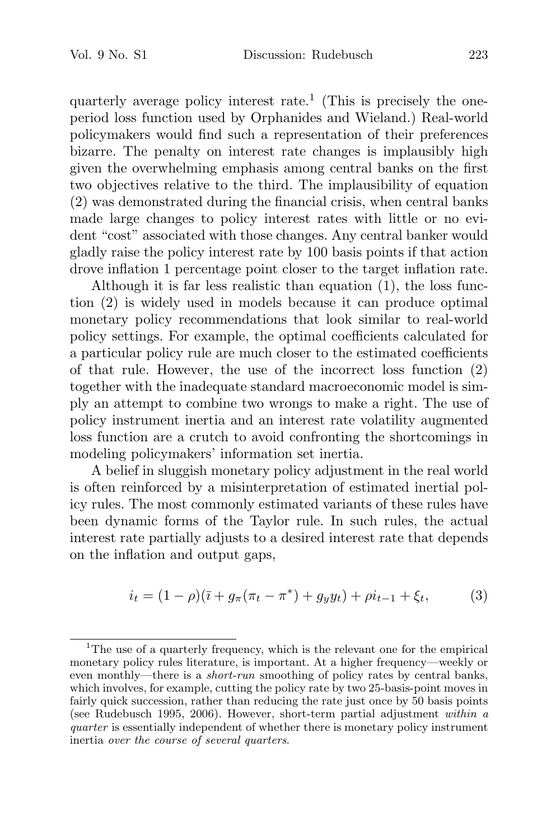quarterly average policy interest rate.<sup>1</sup> (This is precisely the oneperiod loss function used by Orphanides and Wieland.) Real-world policymakers would find such a representation of their preferences bizarre. The penalty on interest rate changes is implausibly high given the overwhelming emphasis among central banks on the first two objectives relative to the third. The implausibility of equation (2) was demonstrated during the financial crisis, when central banks made large changes to policy interest rates with little or no evident "cost" associated with those changes. Any central banker would gladly raise the policy interest rate by 100 basis points if that action drove inflation 1 percentage point closer to the target inflation rate.

Although it is far less realistic than equation (1), the loss function (2) is widely used in models because it can produce optimal monetary policy recommendations that look similar to real-world policy settings. For example, the optimal coefficients calculated for a particular policy rule are much closer to the estimated coefficients of that rule. However, the use of the incorrect loss function (2) together with the inadequate standard macroeconomic model is simply an attempt to combine two wrongs to make a right. The use of policy instrument inertia and an interest rate volatility augmented loss function are a crutch to avoid confronting the shortcomings in modeling policymakers' information set inertia.

A belief in sluggish monetary policy adjustment in the real world is often reinforced by a misinterpretation of estimated inertial policy rules. The most commonly estimated variants of these rules have been dynamic forms of the Taylor rule. In such rules, the actual interest rate partially adjusts to a desired interest rate that depends on the inflation and output gaps,

$$
i_t = (1 - \rho)(\bar{\imath} + g_\pi(\pi_t - \pi^*) + g_y y_t) + \rho i_{t-1} + \xi_t,
$$
 (3)

<sup>&</sup>lt;sup>1</sup>The use of a quarterly frequency, which is the relevant one for the empirical monetary policy rules literature, is important. At a higher frequency—weekly or even monthly—there is a short-run smoothing of policy rates by central banks, which involves, for example, cutting the policy rate by two 25-basis-point moves in fairly quick succession, rather than reducing the rate just once by 50 basis points (see Rudebusch 1995, 2006). However, short-term partial adjustment within a quarter is essentially independent of whether there is monetary policy instrument inertia over the course of several quarters.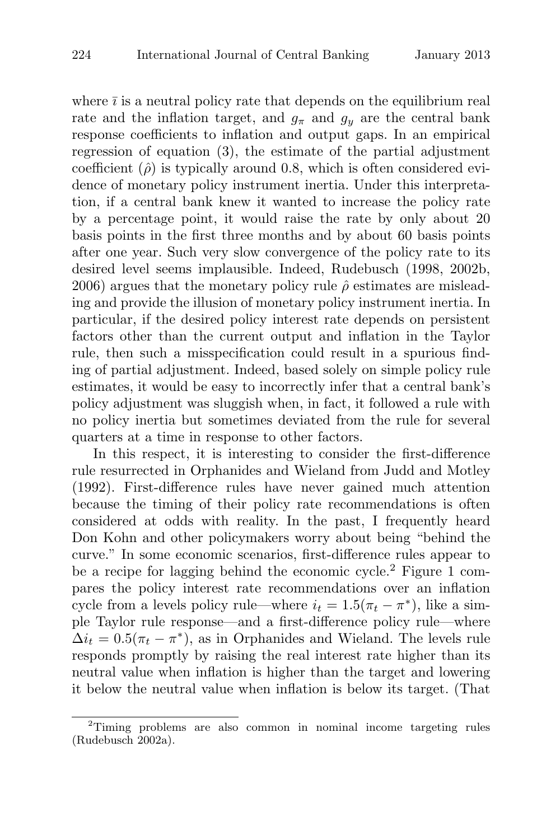where  $\bar{i}$  is a neutral policy rate that depends on the equilibrium real rate and the inflation target, and  $g_{\pi}$  and  $g_y$  are the central bank response coefficients to inflation and output gaps. In an empirical regression of equation (3), the estimate of the partial adjustment coefficient  $(\hat{\rho})$  is typically around 0.8, which is often considered evidence of monetary policy instrument inertia. Under this interpretation, if a central bank knew it wanted to increase the policy rate by a percentage point, it would raise the rate by only about 20 basis points in the first three months and by about 60 basis points after one year. Such very slow convergence of the policy rate to its desired level seems implausible. Indeed, Rudebusch (1998, 2002b, 2006) argues that the monetary policy rule  $\hat{\rho}$  estimates are misleading and provide the illusion of monetary policy instrument inertia. In particular, if the desired policy interest rate depends on persistent factors other than the current output and inflation in the Taylor rule, then such a misspecification could result in a spurious finding of partial adjustment. Indeed, based solely on simple policy rule estimates, it would be easy to incorrectly infer that a central bank's policy adjustment was sluggish when, in fact, it followed a rule with no policy inertia but sometimes deviated from the rule for several quarters at a time in response to other factors.

In this respect, it is interesting to consider the first-difference rule resurrected in Orphanides and Wieland from Judd and Motley (1992). First-difference rules have never gained much attention because the timing of their policy rate recommendations is often considered at odds with reality. In the past, I frequently heard Don Kohn and other policymakers worry about being "behind the curve." In some economic scenarios, first-difference rules appear to be a recipe for lagging behind the economic cycle.<sup>2</sup> Figure 1 compares the policy interest rate recommendations over an inflation cycle from a levels policy rule—where  $i_t = 1.5(\pi_t - \pi^*)$ , like a simple Taylor rule response—and a first-difference policy rule—where  $\Delta i_t = 0.5(\pi_t - \pi^*)$ , as in Orphanides and Wieland. The levels rule responds promptly by raising the real interest rate higher than its neutral value when inflation is higher than the target and lowering it below the neutral value when inflation is below its target. (That

<sup>2</sup>Timing problems are also common in nominal income targeting rules (Rudebusch 2002a).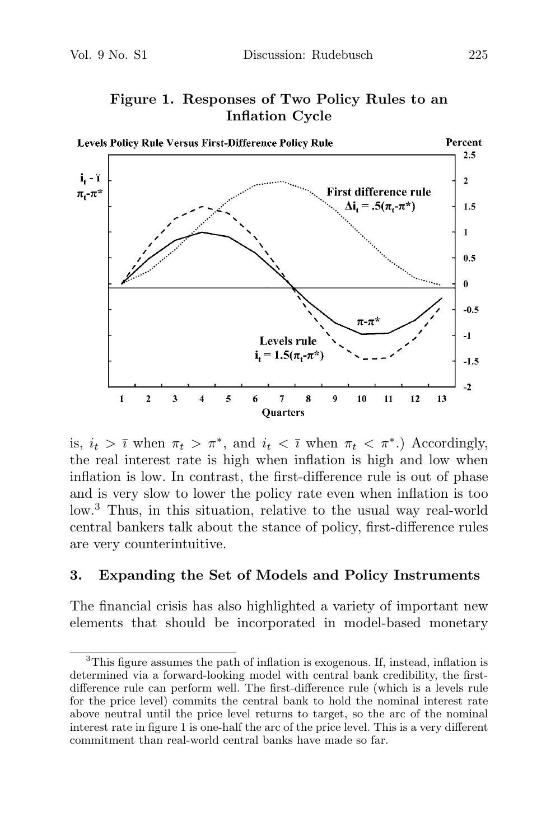

**Figure 1. Responses of Two Policy Rules to an Inflation Cycle**

is,  $i_t > \overline{i}$  when  $\pi_t > \pi^*$ , and  $i_t < \overline{i}$  when  $\pi_t < \pi^*$ .) Accordingly, the real interest rate is high when inflation is high and low when inflation is low. In contrast, the first-difference rule is out of phase and is very slow to lower the policy rate even when inflation is too low.<sup>3</sup> Thus, in this situation, relative to the usual way real-world central bankers talk about the stance of policy, first-difference rules are very counterintuitive.

#### **3. Expanding the Set of Models and Policy Instruments**

The financial crisis has also highlighted a variety of important new elements that should be incorporated in model-based monetary

<sup>&</sup>lt;sup>3</sup>This figure assumes the path of inflation is exogenous. If, instead, inflation is determined via a forward-looking model with central bank credibility, the firstdifference rule can perform well. The first-difference rule (which is a levels rule for the price level) commits the central bank to hold the nominal interest rate above neutral until the price level returns to target, so the arc of the nominal interest rate in figure 1 is one-half the arc of the price level. This is a very different commitment than real-world central banks have made so far.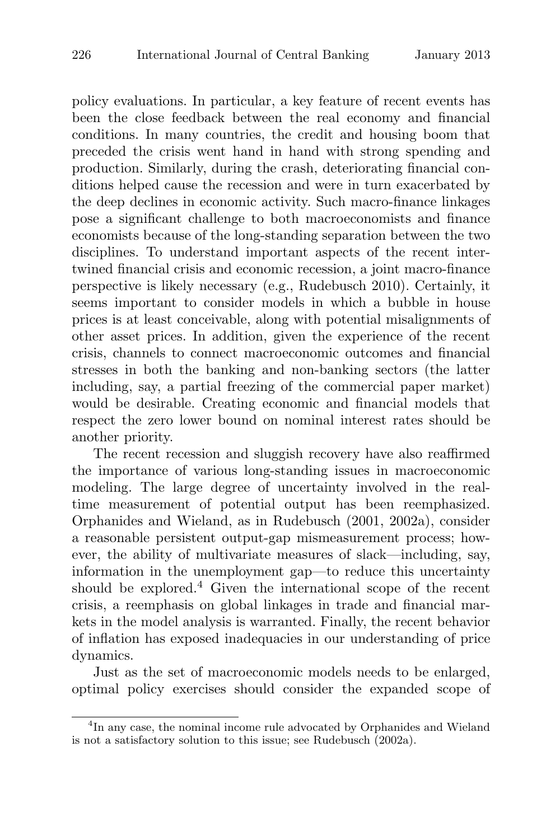policy evaluations. In particular, a key feature of recent events has been the close feedback between the real economy and financial conditions. In many countries, the credit and housing boom that preceded the crisis went hand in hand with strong spending and production. Similarly, during the crash, deteriorating financial conditions helped cause the recession and were in turn exacerbated by the deep declines in economic activity. Such macro-finance linkages pose a significant challenge to both macroeconomists and finance economists because of the long-standing separation between the two disciplines. To understand important aspects of the recent intertwined financial crisis and economic recession, a joint macro-finance perspective is likely necessary (e.g., Rudebusch 2010). Certainly, it seems important to consider models in which a bubble in house prices is at least conceivable, along with potential misalignments of other asset prices. In addition, given the experience of the recent crisis, channels to connect macroeconomic outcomes and financial stresses in both the banking and non-banking sectors (the latter including, say, a partial freezing of the commercial paper market) would be desirable. Creating economic and financial models that respect the zero lower bound on nominal interest rates should be another priority.

The recent recession and sluggish recovery have also reaffirmed the importance of various long-standing issues in macroeconomic modeling. The large degree of uncertainty involved in the realtime measurement of potential output has been reemphasized. Orphanides and Wieland, as in Rudebusch (2001, 2002a), consider a reasonable persistent output-gap mismeasurement process; however, the ability of multivariate measures of slack—including, say, information in the unemployment gap—to reduce this uncertainty should be explored.<sup>4</sup> Given the international scope of the recent crisis, a reemphasis on global linkages in trade and financial markets in the model analysis is warranted. Finally, the recent behavior of inflation has exposed inadequacies in our understanding of price dynamics.

Just as the set of macroeconomic models needs to be enlarged, optimal policy exercises should consider the expanded scope of

<sup>&</sup>lt;sup>4</sup>In any case, the nominal income rule advocated by Orphanides and Wieland is not a satisfactory solution to this issue; see Rudebusch (2002a).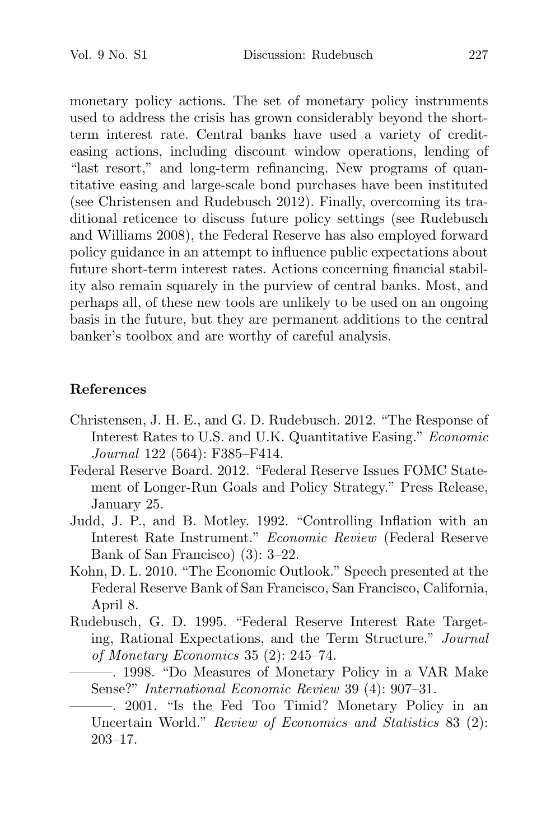monetary policy actions. The set of monetary policy instruments used to address the crisis has grown considerably beyond the shortterm interest rate. Central banks have used a variety of crediteasing actions, including discount window operations, lending of "last resort," and long-term refinancing. New programs of quantitative easing and large-scale bond purchases have been instituted (see Christensen and Rudebusch 2012). Finally, overcoming its traditional reticence to discuss future policy settings (see Rudebusch and Williams 2008), the Federal Reserve has also employed forward policy guidance in an attempt to influence public expectations about future short-term interest rates. Actions concerning financial stability also remain squarely in the purview of central banks. Most, and perhaps all, of these new tools are unlikely to be used on an ongoing basis in the future, but they are permanent additions to the central banker's toolbox and are worthy of careful analysis.

## **References**

- Christensen, J. H. E., and G. D. Rudebusch. 2012. "The Response of Interest Rates to U.S. and U.K. Quantitative Easing." Economic Journal 122 (564): F385–F414.
- Federal Reserve Board. 2012. "Federal Reserve Issues FOMC Statement of Longer-Run Goals and Policy Strategy." Press Release, January 25.
- Judd, J. P., and B. Motley. 1992. "Controlling Inflation with an Interest Rate Instrument." Economic Review (Federal Reserve Bank of San Francisco) (3): 3–22.
- Kohn, D. L. 2010. "The Economic Outlook." Speech presented at the Federal Reserve Bank of San Francisco, San Francisco, California, April 8.
- Rudebusch, G. D. 1995. "Federal Reserve Interest Rate Targeting, Rational Expectations, and the Term Structure." Journal of Monetary Economics 35 (2): 245–74.
	- ———. 1998. "Do Measures of Monetary Policy in a VAR Make Sense?" International Economic Review 39 (4): 907–31.
	- ———. 2001. "Is the Fed Too Timid? Monetary Policy in an Uncertain World." Review of Economics and Statistics 83 (2): 203–17.